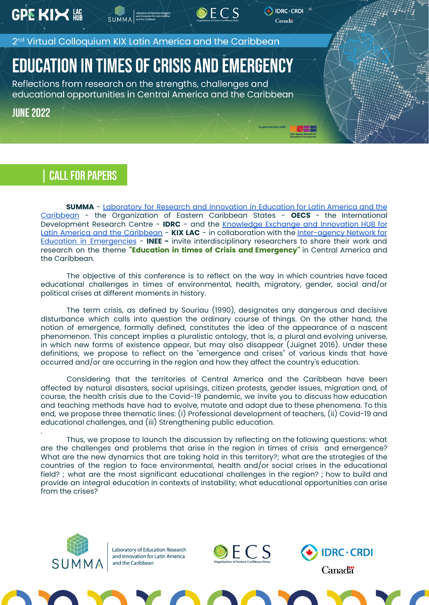**GPE KIX NOTE** 

2<sup>nd</sup> Virtual Colloquium KIX Latin America and the Caribbean

## **EDUCATION IN TIMES OF CRISIS AND EMERGENCY**

Reflections from research on the strengths, challenges and educational opportunities in Central America and the Caribbean

**JUNE 2022** 

### CALL FOR PAPERS

**SUMMA** - [Laboratory](https://www.summaedu.org/) for Research and Innovation in Education for Latin America and the [Caribbean](https://www.summaedu.org/) - the Organization of Eastern Caribbean States - **OECS** - the International Development Research Centre - **IDRC** - and the [Knowledge](https://www.summaedu.org/kixlac/) Exchange and Innovation HUB for Latin America and the [Caribbean](https://www.summaedu.org/kixlac/) - **KIX LAC** - in collaboration with the [Inter-agency](https://inee.org/) Network for Education in [Emergencies](https://inee.org/) - **INEE -** invite interdisciplinary researchers to share their work and research on the theme **"Education in times of Crisis and Emergency"** in Central America and the Caribbean.

 $DECS$ 

DRC · CRDI

Canada

The objective of this conference is to reflect on the way in which countries have faced educational challenges in times of environmental, health, migratory, gender, social and/or political crises at different moments in history.

The term crisis, as defined by Souriau (1990), designates any dangerous and decisive disturbance which calls into question the ordinary course of things. On the other hand, the notion of emergence, formally defined, constitutes the idea of the appearance of a nascent phenomenon. This concept implies a pluralistic ontology, that is, a plural and evolving universe, in which new forms of existence appear, but may also disappear (Juignet 2016). Under these definitions, we propose to reflect on the "emergence and crises" of various kinds that have occurred and/or are occurring in the region and how they affect the country's education.

Considering that the territories of Central America and the Caribbean have been affected by natural disasters, social uprisings, citizen protests, gender issues, migration and, of course, the health crisis due to the Covid-19 pandemic, we invite you to discuss how education and teaching methods have had to evolve, mutate and adapt due to these phenomena. To this end, we propose three thematic lines: (i) Professional development of teachers, (ii) Covid-19 and educational challenges, and (iii) Strengthening public education.

Thus, we propose to launch the discussion by reflecting on the following questions: what are the challenges and problems that arise in the region in times of crisis and emergence? What are the new dynamics that are taking hold in this territory?; what are the strategies of the countries of the region to face environmental, health and/or social crises in the educational field? ; what are the most significant educational challenges in the region? ; how to build and provide an integral education in contexts of instability; what educational opportunities can arise from the crises?



.



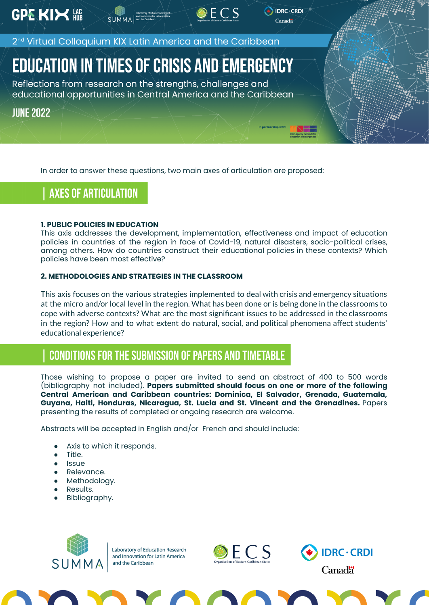**GPE KIX NO** 

2<sup>nd</sup> Virtual Colloquium KIX Latin America and the Caribbean

# **EDUCATION IN TIMES OF CRISIS AND EMERGENCY**

Reflections from research on the strengths, challenges and educational opportunities in Central America and the Caribbean

**JUNE 2022** 

In order to answer these questions, two main axes of articulation are proposed:

### | Axes of articulation

#### **1. PUBLIC POLICIES IN EDUCATION**

This axis addresses the development, implementation, effectiveness and impact of education policies in countries of the region in face of Covid-19, natural disasters, socio-political crises, among others. How do countries construct their educational policies in these contexts? Which policies have been most effective?

 $DECS$ 

DRC · CRDI Canada

#### **2. METHODOLOGIES AND STRATEGIES IN THE CLASSROOM**

This axis focuses on the various strategies implemented to deal with crisis and emergency situations at the micro and/or local level in the region. What has been done or is being done in the classrooms to cope with adverse contexts? What are the most significant issues to be addressed in the classrooms in the region? How and to what extent do natural, social, and political phenomena affect students' educational experience?

### CONDITIONS FOR THE SUBMISSION OF PAPERS AND TIMETABLE

Those wishing to propose a paper are invited to send an abstract of 400 to 500 words (bibliography not included). **Papers submitted should focus on one or more of the following Central American and Caribbean countries: Dominica, El Salvador, Grenada, Guatemala, Guyana, Haiti, Honduras, Nicaragua, St. Lucia and St. Vincent and the Grenadines.** Papers presenting the results of completed or ongoing research are welcome.

Abstracts will be accepted in English and/or French and should include:

- Axis to which it responds.
- Title.
- Issue
- Relevance.
- Methodology.
- Results.
- Bibliography.





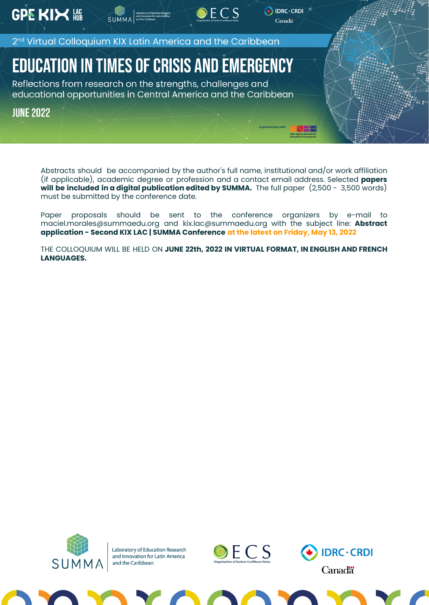**GPE KIX NE** 

2<sup>nd</sup> Virtual Colloquium KIX Latin America and the Caribbean

Exporator

## **EDUCATION IN TIMES OF CRISIS AND EMERGENCY**

Reflections from research on the strengths, challenges and educational opportunities in Central America and the Caribbean

**JUNE 2022** 

Abstracts should be accompanied by the author's full name, institutional and/or work affiliation (if applicable), academic degree or profession and a contact email address. Selected **papers will be included in a digital publication edited by SUMMA.** The full paper (2,500 - 3,500 words) must be submitted by the conference date.

 $DECS$ 

 $\bigoplus$  IDRC  $\cdot$  CRDI

Canada

Paper proposals should be sent to the conference organizers by e-mail to maciel.morales@summaedu.org and kix.lac@summaedu.org with the subject line: **Abstract application - Second KIX LAC | SUMMA Conference at the latest on Friday, May 13, 2022**

THE COLLOQUIUM WILL BE HELD ON **JUNE 22th, 2022 IN VIRTUAL FORMAT, IN ENGLISH AND FRENCH LANGUAGES.**





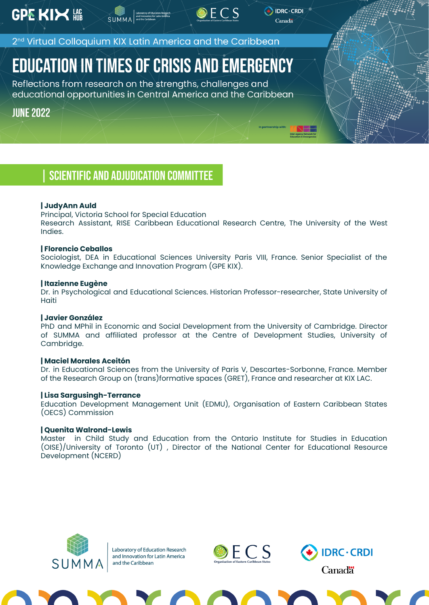2<sup>nd</sup> Virtual Colloquium KIX Latin America and the Caribbean

## **EDUCATION IN TIMES OF CRISIS AND EMERGENCY**

Reflections from research on the strengths, challenges and educational opportunities in Central America and the Caribbean

**JUNE 2022** 

### | Scientific and adjudication committee

#### **| JudyAnn Auld**

Principal, Victoria School for Special Education

Research Assistant, RISE Caribbean Educational Research Centre, The University of the West Indies.

 $DECS$ 

DRC · CRDI Canada

#### **| Florencio Ceballos**

Sociologist, DEA in Educational Sciences University Paris VIII, France. Senior Specialist of the Knowledge Exchange and Innovation Program (GPE KIX).

#### **| Itazienne Eugène**

Dr. in Psychological and Educational Sciences. Historian Professor-researcher, State University of **Haiti** 

#### **| Javier González**

PhD and MPhil in Economic and Social Development from the University of Cambridge. Director of SUMMA and affiliated professor at the Centre of Development Studies, University of Cambridge.

#### **| Maciel Morales Aceitón**

Dr. in Educational Sciences from the University of Paris V, Descartes-Sorbonne, France. Member of the Research Group on (trans)formative spaces (GRET), France and researcher at KIX LAC.

#### **| Lisa Sargusingh-Terrance**

Education Development Management Unit (EDMU), Organisation of Eastern Caribbean States (OECS) Commission

#### **| Quenita Walrond-Lewis**

Master in Child Study and Education from the Ontario Institute for Studies in Education (OISE)/University of Toronto (UT) , Director of the National Center for Educational Resource Development (NCERD)





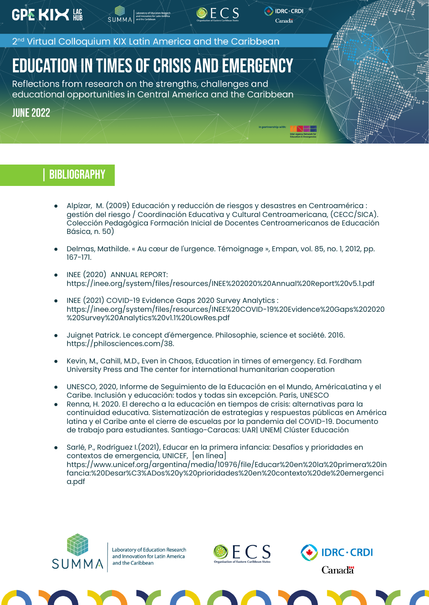**GPE KIX NOTE** 

2<sup>nd</sup> Virtual Colloquium KIX Latin America and the Caribbean

SUMMA<sup>and line</sup>

## **EDUCATION IN TIMES OF CRISIS AND EMERGENCY**

Reflections from research on the strengths, challenges and educational opportunities in Central America and the Caribbean

**JUNE 2022** 

## | Bibliography

Alpízar, M. (2009) Educación y reducción de riesgos y desastres en Centroamérica : gestión del riesgo / Coordinación Educativa y Cultural Centroamericana, (CECC/SICA). Colección Pedagógica Formación Inicial de Docentes Centroamericanos de Educación Básica, n. 50)

 $DECS$ 

DRC · CRDI

Canada

- Delmas, Mathilde. « Au cœur de l'urgence. Témoignage », Empan, vol. 85, no. 1, 2012, pp. 167-171.
- INEE (2020) ANNUAL REPORT: https://inee.org/system/files/resources/INEE%202020%20Annual%20Report%20v5.1.pdf
- INEE (2021) COVID-19 Evidence Gaps 2020 Survey Analytics : https://inee.org/system/files/resources/INEE%20COVID-19%20Evidence%20Gaps%202020 %20Survey%20Analytics%20v1.1%20LowRes.pdf
- Juignet Patrick. Le concept d'émergence. Philosophie, science et société. 2016. [https://philosciences.com/38](https://philosciences.com/philosophie-generale/complexite-systeme-organisation-emergence/38-le-concept-d-emergence).
- Kevin, M., Cahill, M.D., Even in Chaos, Education in times of emergency. Ed. Fordham University Press and The center for international humanitarian cooperation
- UNESCO, 2020, Informe de Seguimiento de la Educación en el Mundo, AméricaLatina y el Caribe. Inclusión y educación: todos y todas sin excepción. París, UNESCO
- Renna, H. 2020. El derecho a la educación en tiempos de crisis: alternativas para la continuidad educativa. Sistematización de estrategias y respuestas públicas en América latina y el Caribe ante el cierre de escuelas por la pandemia del COVID-19. Documento de trabajo para estudiantes. Santiago-Caracas: UAR| UNEM| Clúster Educación
- Sarlé, P., Rodríguez I.(2021), Educar en la primera infancia: Desafíos y prioridades en contextos de emergencia, UNICEF, [en línea] [https://www.unicef.org/argentina/media/10976/file/Educar%20en%20la%20primera%20in](https://www.unicef.org/argentina/media/10976/file/Educar%20en%20la%20primera%20infancia:%20Desar%C3%ADos%20y%20prioridades%20en%20contexto%20de%20emergencia.pdf) [fancia:%20Desar%C3%ADos%20y%20prioridades%20en%20contexto%20de%20emergenci](https://www.unicef.org/argentina/media/10976/file/Educar%20en%20la%20primera%20infancia:%20Desar%C3%ADos%20y%20prioridades%20en%20contexto%20de%20emergencia.pdf) [a.pdf](https://www.unicef.org/argentina/media/10976/file/Educar%20en%20la%20primera%20infancia:%20Desar%C3%ADos%20y%20prioridades%20en%20contexto%20de%20emergencia.pdf)